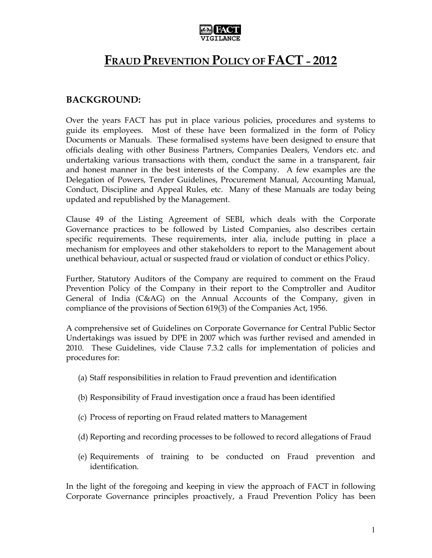

# FRAUD PREVENTION POLICY OF FACT - 2012

# BACKGROUND:

Over the years FACT has put in place various policies, procedures and systems to guide its employees. Most of these have been formalized in the form of Policy Documents or Manuals. These formalised systems have been designed to ensure that officials dealing with other Business Partners, Companies Dealers, Vendors etc. and undertaking various transactions with them, conduct the same in a transparent, fair and honest manner in the best interests of the Company. A few examples are the Delegation of Powers, Tender Guidelines, Procurement Manual, Accounting Manual, Conduct, Discipline and Appeal Rules, etc. Many of these Manuals are today being updated and republished by the Management.

Clause 49 of the Listing Agreement of SEBI, which deals with the Corporate Governance practices to be followed by Listed Companies, also describes certain specific requirements. These requirements, inter alia, include putting in place a mechanism for employees and other stakeholders to report to the Management about unethical behaviour, actual or suspected fraud or violation of conduct or ethics Policy.

Further, Statutory Auditors of the Company are required to comment on the Fraud Prevention Policy of the Company in their report to the Comptroller and Auditor General of India (C&AG) on the Annual Accounts of the Company, given in compliance of the provisions of Section 619(3) of the Companies Act, 1956.

A comprehensive set of Guidelines on Corporate Governance for Central Public Sector Undertakings was issued by DPE in 2007 which was further revised and amended in 2010. These Guidelines, vide Clause 7.3.2 calls for implementation of policies and procedures for:

- (a) Staff responsibilities in relation to Fraud prevention and identification
- (b) Responsibility of Fraud investigation once a fraud has been identified
- (c) Process of reporting on Fraud related matters to Management
- (d) Reporting and recording processes to be followed to record allegations of Fraud
- (e) Requirements of training to be conducted on Fraud prevention and identification.

In the light of the foregoing and keeping in view the approach of FACT in following Corporate Governance principles proactively, a Fraud Prevention Policy has been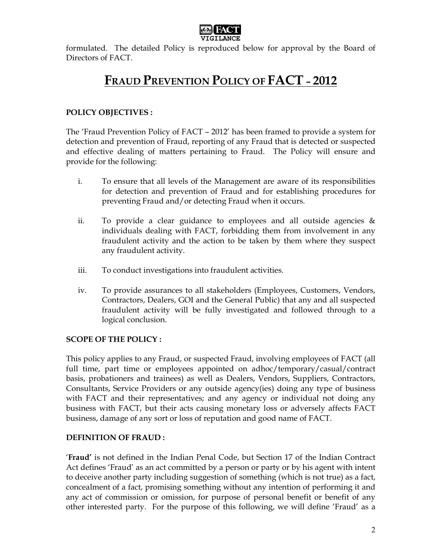

formulated. The detailed Policy is reproduced below for approval by the Board of Directors of FACT.

# FRAUD PREVENTION POLICY OF FACT – 2012

## POLICY OBJECTIVES :

The 'Fraud Prevention Policy of FACT – 2012' has been framed to provide a system for detection and prevention of Fraud, reporting of any Fraud that is detected or suspected and effective dealing of matters pertaining to Fraud. The Policy will ensure and provide for the following:

- i. To ensure that all levels of the Management are aware of its responsibilities for detection and prevention of Fraud and for establishing procedures for preventing Fraud and/or detecting Fraud when it occurs.
- ii. To provide a clear guidance to employees and all outside agencies  $\&$ individuals dealing with FACT, forbidding them from involvement in any fraudulent activity and the action to be taken by them where they suspect any fraudulent activity.
- iii. To conduct investigations into fraudulent activities.
- iv. To provide assurances to all stakeholders (Employees, Customers, Vendors, Contractors, Dealers, GOI and the General Public) that any and all suspected fraudulent activity will be fully investigated and followed through to a logical conclusion.

### SCOPE OF THE POLICY :

This policy applies to any Fraud, or suspected Fraud, involving employees of FACT (all full time, part time or employees appointed on adhoc/temporary/casual/contract basis, probationers and trainees) as well as Dealers, Vendors, Suppliers, Contractors, Consultants, Service Providers or any outside agency(ies) doing any type of business with FACT and their representatives; and any agency or individual not doing any business with FACT, but their acts causing monetary loss or adversely affects FACT business, damage of any sort or loss of reputation and good name of FACT.

### DEFINITION OF FRAUD :

'Fraud' is not defined in the Indian Penal Code, but Section 17 of the Indian Contract Act defines 'Fraud' as an act committed by a person or party or by his agent with intent to deceive another party including suggestion of something (which is not true) as a fact, concealment of a fact, promising something without any intention of performing it and any act of commission or omission, for purpose of personal benefit or benefit of any other interested party. For the purpose of this following, we will define 'Fraud' as a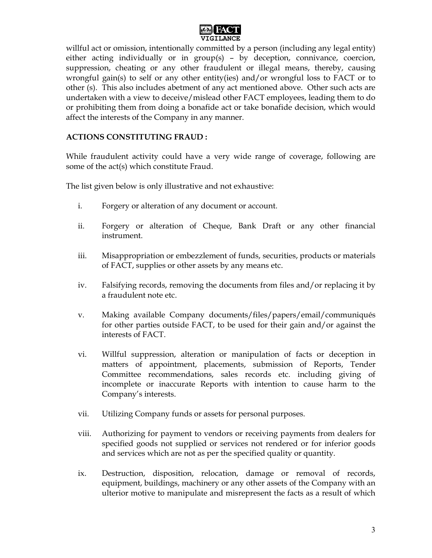

willful act or omission, intentionally committed by a person (including any legal entity) either acting individually or in group(s) – by deception, connivance, coercion, suppression, cheating or any other fraudulent or illegal means, thereby, causing wrongful gain(s) to self or any other entity(ies) and/or wrongful loss to FACT or to other (s). This also includes abetment of any act mentioned above. Other such acts are undertaken with a view to deceive/mislead other FACT employees, leading them to do or prohibiting them from doing a bonafide act or take bonafide decision, which would affect the interests of the Company in any manner.

### ACTIONS CONSTITUTING FRAUD :

While fraudulent activity could have a very wide range of coverage, following are some of the act(s) which constitute Fraud.

The list given below is only illustrative and not exhaustive:

- i. Forgery or alteration of any document or account.
- ii. Forgery or alteration of Cheque, Bank Draft or any other financial instrument.
- iii. Misappropriation or embezzlement of funds, securities, products or materials of FACT, supplies or other assets by any means etc.
- iv. Falsifying records, removing the documents from files and/or replacing it by a fraudulent note etc.
- v. Making available Company documents/files/papers/email/communiqués for other parties outside FACT, to be used for their gain and/or against the interests of FACT.
- vi. Willful suppression, alteration or manipulation of facts or deception in matters of appointment, placements, submission of Reports, Tender Committee recommendations, sales records etc. including giving of incomplete or inaccurate Reports with intention to cause harm to the Company's interests.
- vii. Utilizing Company funds or assets for personal purposes.
- viii. Authorizing for payment to vendors or receiving payments from dealers for specified goods not supplied or services not rendered or for inferior goods and services which are not as per the specified quality or quantity.
- ix. Destruction, disposition, relocation, damage or removal of records, equipment, buildings, machinery or any other assets of the Company with an ulterior motive to manipulate and misrepresent the facts as a result of which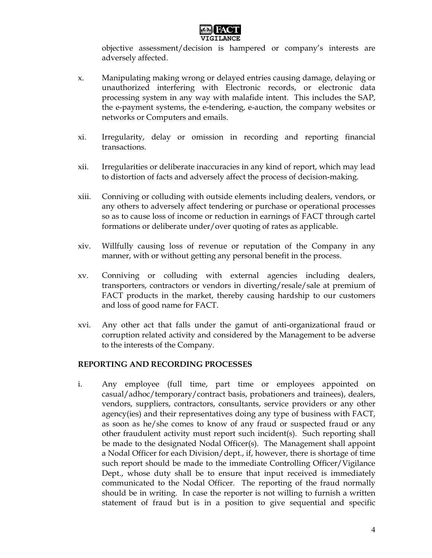

objective assessment/decision is hampered or company's interests are adversely affected.

- x. Manipulating making wrong or delayed entries causing damage, delaying or unauthorized interfering with Electronic records, or electronic data processing system in any way with malafide intent. This includes the SAP, the e-payment systems, the e-tendering, e-auction, the company websites or networks or Computers and emails.
- xi. Irregularity, delay or omission in recording and reporting financial transactions.
- xii. Irregularities or deliberate inaccuracies in any kind of report, which may lead to distortion of facts and adversely affect the process of decision-making.
- xiii. Conniving or colluding with outside elements including dealers, vendors, or any others to adversely affect tendering or purchase or operational processes so as to cause loss of income or reduction in earnings of FACT through cartel formations or deliberate under/over quoting of rates as applicable.
- xiv. Willfully causing loss of revenue or reputation of the Company in any manner, with or without getting any personal benefit in the process.
- xv. Conniving or colluding with external agencies including dealers, transporters, contractors or vendors in diverting/resale/sale at premium of FACT products in the market, thereby causing hardship to our customers and loss of good name for FACT.
- xvi. Any other act that falls under the gamut of anti-organizational fraud or corruption related activity and considered by the Management to be adverse to the interests of the Company.

#### REPORTING AND RECORDING PROCESSES

i. Any employee (full time, part time or employees appointed on casual/adhoc/temporary/contract basis, probationers and trainees), dealers, vendors, suppliers, contractors, consultants, service providers or any other agency(ies) and their representatives doing any type of business with FACT, as soon as he/she comes to know of any fraud or suspected fraud or any other fraudulent activity must report such incident(s). Such reporting shall be made to the designated Nodal Officer(s). The Management shall appoint a Nodal Officer for each Division/dept., if, however, there is shortage of time such report should be made to the immediate Controlling Officer/Vigilance Dept., whose duty shall be to ensure that input received is immediately communicated to the Nodal Officer. The reporting of the fraud normally should be in writing. In case the reporter is not willing to furnish a written statement of fraud but is in a position to give sequential and specific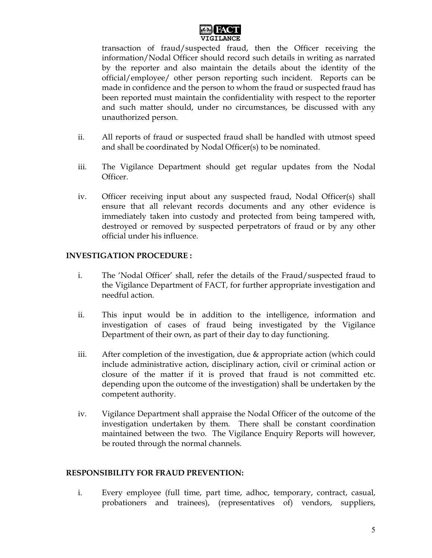

transaction of fraud/suspected fraud, then the Officer receiving the information/Nodal Officer should record such details in writing as narrated by the reporter and also maintain the details about the identity of the official/employee/ other person reporting such incident. Reports can be made in confidence and the person to whom the fraud or suspected fraud has been reported must maintain the confidentiality with respect to the reporter and such matter should, under no circumstances, be discussed with any unauthorized person.

- ii. All reports of fraud or suspected fraud shall be handled with utmost speed and shall be coordinated by Nodal Officer(s) to be nominated.
- iii. The Vigilance Department should get regular updates from the Nodal Officer.
- iv. Officer receiving input about any suspected fraud, Nodal Officer(s) shall ensure that all relevant records documents and any other evidence is immediately taken into custody and protected from being tampered with, destroyed or removed by suspected perpetrators of fraud or by any other official under his influence.

### INVESTIGATION PROCEDURE :

- i. The 'Nodal Officer' shall, refer the details of the Fraud/suspected fraud to the Vigilance Department of FACT, for further appropriate investigation and needful action.
- ii. This input would be in addition to the intelligence, information and investigation of cases of fraud being investigated by the Vigilance Department of their own, as part of their day to day functioning.
- iii. After completion of the investigation, due & appropriate action (which could include administrative action, disciplinary action, civil or criminal action or closure of the matter if it is proved that fraud is not committed etc. depending upon the outcome of the investigation) shall be undertaken by the competent authority.
- iv. Vigilance Department shall appraise the Nodal Officer of the outcome of the investigation undertaken by them. There shall be constant coordination maintained between the two. The Vigilance Enquiry Reports will however, be routed through the normal channels.

#### RESPONSIBILITY FOR FRAUD PREVENTION:

i. Every employee (full time, part time, adhoc, temporary, contract, casual, probationers and trainees), (representatives of) vendors, suppliers,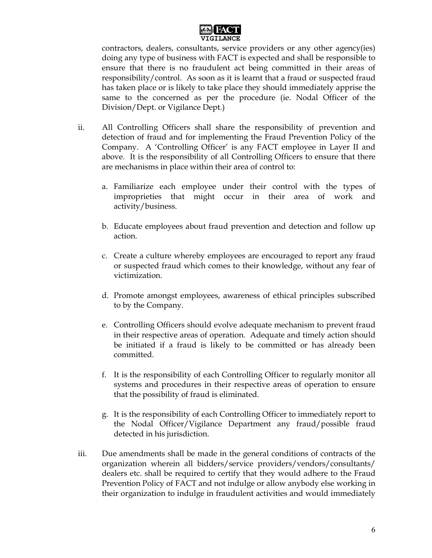

contractors, dealers, consultants, service providers or any other agency(ies) doing any type of business with FACT is expected and shall be responsible to ensure that there is no fraudulent act being committed in their areas of responsibility/control. As soon as it is learnt that a fraud or suspected fraud has taken place or is likely to take place they should immediately apprise the same to the concerned as per the procedure (ie. Nodal Officer of the Division/Dept. or Vigilance Dept.)

- ii. All Controlling Officers shall share the responsibility of prevention and detection of fraud and for implementing the Fraud Prevention Policy of the Company. A 'Controlling Officer' is any FACT employee in Layer II and above. It is the responsibility of all Controlling Officers to ensure that there are mechanisms in place within their area of control to:
	- a. Familiarize each employee under their control with the types of improprieties that might occur in their area of work and activity/business.
	- b. Educate employees about fraud prevention and detection and follow up action.
	- c. Create a culture whereby employees are encouraged to report any fraud or suspected fraud which comes to their knowledge, without any fear of victimization.
	- d. Promote amongst employees, awareness of ethical principles subscribed to by the Company.
	- e. Controlling Officers should evolve adequate mechanism to prevent fraud in their respective areas of operation. Adequate and timely action should be initiated if a fraud is likely to be committed or has already been committed.
	- f. It is the responsibility of each Controlling Officer to regularly monitor all systems and procedures in their respective areas of operation to ensure that the possibility of fraud is eliminated.
	- g. It is the responsibility of each Controlling Officer to immediately report to the Nodal Officer/Vigilance Department any fraud/possible fraud detected in his jurisdiction.
- iii. Due amendments shall be made in the general conditions of contracts of the organization wherein all bidders/service providers/vendors/consultants/ dealers etc. shall be required to certify that they would adhere to the Fraud Prevention Policy of FACT and not indulge or allow anybody else working in their organization to indulge in fraudulent activities and would immediately